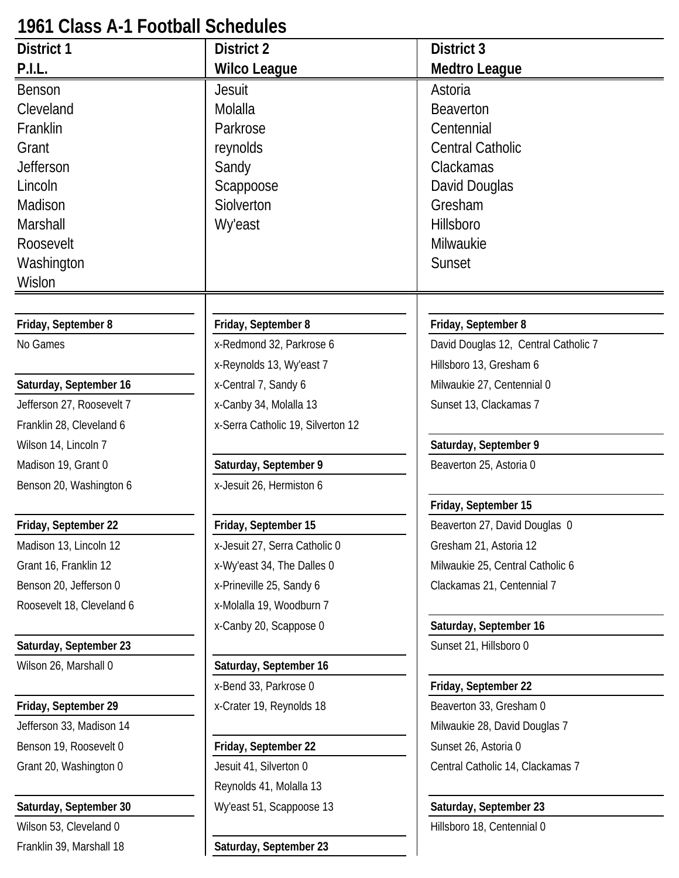# **1961 Class A-1 Football Schedules**

| <b>District 1</b>         | <b>District 2</b>                 | District 3                           |
|---------------------------|-----------------------------------|--------------------------------------|
| P.I.L.                    | <b>Wilco League</b>               | <b>Medtro League</b>                 |
| <b>Benson</b>             | Jesuit                            | Astoria                              |
| Cleveland                 | Molalla                           | <b>Beaverton</b>                     |
| Franklin                  | Parkrose                          | Centennial                           |
| Grant                     | reynolds                          | <b>Central Catholic</b>              |
| <b>Jefferson</b>          | Sandy                             | Clackamas                            |
| Lincoln                   | Scappoose                         | David Douglas                        |
| Madison                   | Siolverton                        | Gresham                              |
| Marshall                  | <b>Wy'east</b>                    | Hillsboro                            |
| Roosevelt                 |                                   | Milwaukie                            |
| Washington                |                                   | Sunset                               |
| Wislon                    |                                   |                                      |
|                           |                                   |                                      |
| Friday, September 8       | Friday, September 8               | Friday, September 8                  |
| No Games                  | x-Redmond 32, Parkrose 6          | David Douglas 12, Central Catholic 7 |
|                           | x-Reynolds 13, Wy'east 7          | Hillsboro 13, Gresham 6              |
| Saturday, September 16    | x-Central 7, Sandy 6              | Milwaukie 27, Centennial 0           |
| Jefferson 27, Roosevelt 7 | x-Canby 34, Molalla 13            | Sunset 13, Clackamas 7               |
| Franklin 28, Cleveland 6  | x-Serra Catholic 19, Silverton 12 |                                      |
| Wilson 14, Lincoln 7      |                                   | Saturday, September 9                |
| Madison 19, Grant 0       | Saturday, September 9             | Beaverton 25, Astoria 0              |
| Benson 20, Washington 6   | x-Jesuit 26, Hermiston 6          |                                      |
|                           |                                   | Friday, September 15                 |
| Friday, September 22      | Friday, September 15              | Beaverton 27, David Douglas 0        |
| Madison 13, Lincoln 12    | x-Jesuit 27, Serra Catholic 0     | Gresham 21, Astoria 12               |
| Grant 16, Franklin 12     | x-Wy'east 34, The Dalles 0        | Milwaukie 25, Central Catholic 6     |
| Benson 20, Jefferson 0    | x-Prineville 25, Sandy 6          | Clackamas 21, Centennial 7           |
| Roosevelt 18, Cleveland 6 | x-Molalla 19, Woodburn 7          |                                      |
|                           | x-Canby 20, Scappose 0            | Saturday, September 16               |
| Saturday, September 23    |                                   | Sunset 21, Hillsboro 0               |
| Wilson 26, Marshall 0     | Saturday, September 16            |                                      |
|                           | x-Bend 33, Parkrose 0             | Friday, September 22                 |
| Friday, September 29      | x-Crater 19, Reynolds 18          | Beaverton 33, Gresham 0              |
| Jefferson 33, Madison 14  |                                   | Milwaukie 28, David Douglas 7        |
| Benson 19, Roosevelt 0    | Friday, September 22              | Sunset 26, Astoria 0                 |
| Grant 20, Washington 0    | Jesuit 41, Silverton 0            | Central Catholic 14, Clackamas 7     |
|                           | Reynolds 41, Molalla 13           |                                      |
| Saturday, September 30    | Wy'east 51, Scappoose 13          | Saturday, September 23               |
| Wilson 53, Cleveland 0    |                                   | Hillsboro 18, Centennial 0           |
| Franklin 39, Marshall 18  | Saturday, September 23            |                                      |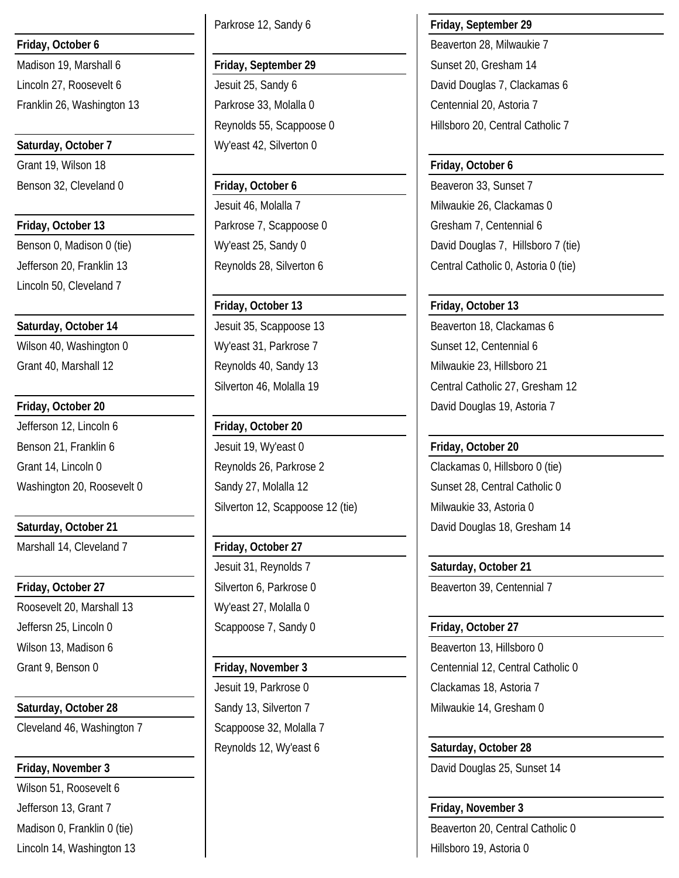Franklin 26, Washington 13 Parkrose 33, Molalla 0 Centennial 20, Astoria 7

Lincoln 50, Cleveland 7

Wilson 40, Washington 0 Wy'east 31, Parkrose 7 Sunset 12, Centennial 6

Jefferson 12, Lincoln 6 **Friday, October 20**

Marshall 14, Cleveland 7 **Friday, October 27** 

Roosevelt 20, Marshall 13 Wy'east 27, Molalla 0 Jeffersn 25, Lincoln 0 Scappoose 7, Sandy 0 **Friday, October 27** Wilson 13, Madison 6 Beaverton 13, Hillsboro 0

Cleveland 46, Washington 7 Scappoose 32, Molalla 7

Wilson 51, Roosevelt 6 Jefferson 13, Grant 7 **Friday, November 3** Lincoln 14, Washington 13 **Hillsboro 19, Astoria 0** 

Parkrose 12, Sandy 6 **Friday, September 29**

# Madison 19, Marshall 6 **Friday, September 29** Sunset 20, Gresham 14

**Saturday, October 7** Wy'east 42, Silverton 0

**Friday, October 13 Parkrose 7, Scappoose 0 Gresham 7, Centennial 6** Cresham 7, Centennial 6

Benson 21, Franklin 6 **Jesuit 19, Wy'east 0 Friday, October 20** Grant 14, Lincoln 0 Reynolds 26, Parkrose 2 Clackamas 0, Hillsboro 0 (tie) Washington 20, Roosevelt 0 Sandy 27, Molalla 12 Sunset 28, Central Catholic 0 Silverton 12, Scappoose 12 (tie) Milwaukie 33, Astoria 0

Jesuit 31, Reynolds 7 **Saturday, October 21**

Jesuit 19, Parkrose 0 Clackamas 18, Astoria 7 Reynolds 12, Wy'east 6 **Saturday**, October 28

**Friday, October 6 Beaverton 28, Milwaukie 7 Beaverton 28, Milwaukie 7** Lincoln 27, Roosevelt 6 **Jesuit 25, Sandy 6** David Douglas 7, Clackamas 6 Reynolds 55, Scappoose 0 Hillsboro 20, Central Catholic 7

### Grant 19, Wilson 18 **Friday, October 6**

Benson 32, Cleveland 0 **Friday, October 6** Benson 33, Sunset 7 Jesuit 46, Molalla 7 Milwaukie 26, Clackamas 0 Benson 0, Madison 0 (tie) <br>
University 25, Sandy 0 David Douglas 7, Hillsboro 7 (tie) Jefferson 20, Franklin 13 Reynolds 28, Silverton 6 Central Catholic 0, Astoria 0 (tie)

### **Friday, October 13 Friday, October 13**

**Saturday, October 14 Jesuit 35, Scappoose 13** Beaverton 18, Clackamas 6 Grant 40, Marshall 12 **Reynolds 40, Sandy 13** Milwaukie 23, Hillsboro 21 Silverton 46, Molalla 19 **Central Catholic 27, Gresham 12 Friday, October 20 David Douglas 19, Astoria 7 David Douglas 19, Astoria 7** 

**Saturday, October 21 David Douglas 18, Gresham 14** David Douglas 18, Gresham 14

**Friday, October 27 Silverton 6, Parkrose 0 Beaverton 39, Centennial 7** Beaverton 39, Centennial 7

Grant 9, Benson 0 **Friday, November 3** Centennial 12, Central Catholic 0 **Saturday, October 28 Sandy 13, Silverton 7** Milwaukie 14, Gresham 0

**Friday, November 3 David Douglas 25, Sunset 14** 

Madison 0, Franklin 0 (tie) and Equipment of the state of the Beaverton 20, Central Catholic 0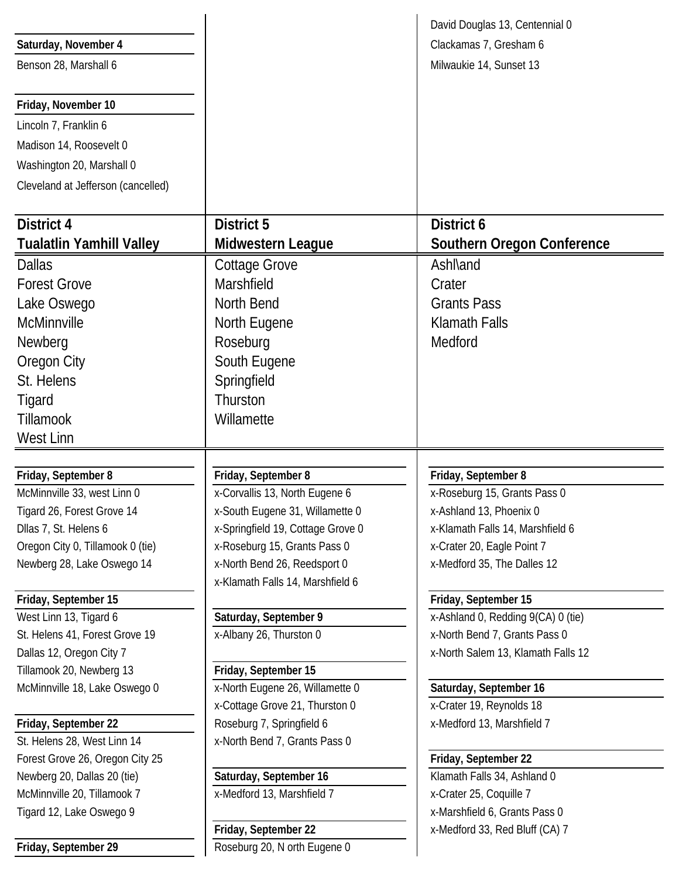|                                    |                                   | David Douglas 13, Centennial 0                             |
|------------------------------------|-----------------------------------|------------------------------------------------------------|
| Saturday, November 4               |                                   | Clackamas 7, Gresham 6                                     |
| Benson 28, Marshall 6              |                                   | Milwaukie 14, Sunset 13                                    |
| Friday, November 10                |                                   |                                                            |
| Lincoln 7, Franklin 6              |                                   |                                                            |
| Madison 14, Roosevelt 0            |                                   |                                                            |
| Washington 20, Marshall 0          |                                   |                                                            |
| Cleveland at Jefferson (cancelled) |                                   |                                                            |
| District 4                         | <b>District 5</b>                 | District 6                                                 |
| <b>Tualatlin Yamhill Valley</b>    | Midwestern League                 | <b>Southern Oregon Conference</b>                          |
|                                    |                                   |                                                            |
| <b>Dallas</b>                      | <b>Cottage Grove</b>              | <b>Ashl</b> and                                            |
| <b>Forest Grove</b>                | Marshfield                        | Crater                                                     |
| Lake Oswego                        | North Bend                        | <b>Grants Pass</b>                                         |
| McMinnville                        | North Eugene                      | <b>Klamath Falls</b>                                       |
| Newberg                            | Roseburg                          | Medford                                                    |
| Oregon City                        | South Eugene                      |                                                            |
| St. Helens                         | Springfield                       |                                                            |
| Tigard                             | Thurston                          |                                                            |
| Tillamook                          | Willamette                        |                                                            |
| West Linn                          |                                   |                                                            |
|                                    |                                   |                                                            |
| Friday, September 8                | Friday, September 8               | Friday, September 8                                        |
| McMinnville 33, west Linn 0        | x-Corvallis 13, North Eugene 6    | x-Roseburg 15, Grants Pass 0                               |
| Tigard 26, Forest Grove 14         | x-South Eugene 31, Willamette 0   | x-Ashland 13, Phoenix 0                                    |
| Dllas 7, St. Helens 6              | x-Springfield 19, Cottage Grove 0 | x-Klamath Falls 14, Marshfield 6                           |
| Oregon City 0, Tillamook 0 (tie)   | x-Roseburg 15, Grants Pass 0      | x-Crater 20, Eagle Point 7                                 |
| Newberg 28, Lake Oswego 14         | x-North Bend 26, Reedsport 0      | x-Medford 35, The Dalles 12                                |
| Friday, September 15               | x-Klamath Falls 14, Marshfield 6  |                                                            |
| West Linn 13, Tigard 6             | Saturday, September 9             | Friday, September 15<br>x-Ashland 0, Redding 9(CA) 0 (tie) |
| St. Helens 41, Forest Grove 19     | x-Albany 26, Thurston 0           | x-North Bend 7, Grants Pass 0                              |
| Dallas 12, Oregon City 7           |                                   | x-North Salem 13, Klamath Falls 12                         |
| Tillamook 20, Newberg 13           | Friday, September 15              |                                                            |
| McMinnville 18, Lake Oswego 0      | x-North Eugene 26, Willamette 0   | Saturday, September 16                                     |
|                                    | x-Cottage Grove 21, Thurston 0    | x-Crater 19, Reynolds 18                                   |
| Friday, September 22               | Roseburg 7, Springfield 6         | x-Medford 13, Marshfield 7                                 |
| St. Helens 28, West Linn 14        | x-North Bend 7, Grants Pass 0     |                                                            |
| Forest Grove 26, Oregon City 25    |                                   | Friday, September 22                                       |
| Newberg 20, Dallas 20 (tie)        | Saturday, September 16            | Klamath Falls 34, Ashland 0                                |
| McMinnville 20, Tillamook 7        | x-Medford 13, Marshfield 7        | x-Crater 25, Coquille 7                                    |
| Tigard 12, Lake Oswego 9           |                                   | x-Marshfield 6, Grants Pass 0                              |
|                                    | Friday, September 22              | x-Medford 33, Red Bluff (CA) 7                             |
| Friday, September 29               | Roseburg 20, N orth Eugene 0      |                                                            |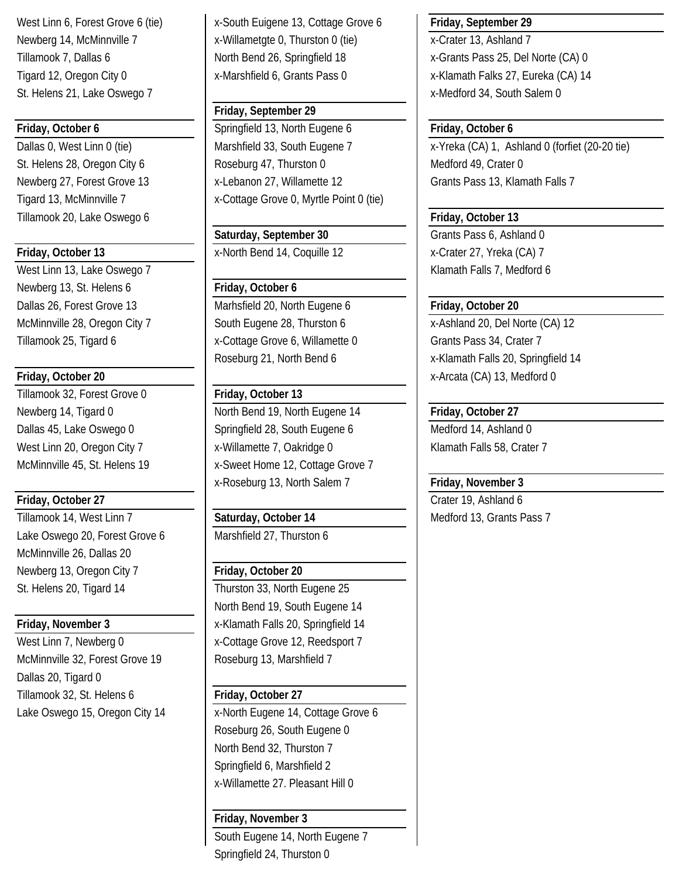St. Helens 21, Lake Oswego 7 and the state of the state of the state of the state of the state of the state of the state of the state of the state of the state of the state of the state of the state of the state of the sta

Tillamook 20, Lake Oswego 6 **Friday, October 13** 

West Linn 13, Lake Oswego 7 and 12 Klamath Falls 7, Medford 6 Newberg 13, St. Helens 6 **Friday, October 6** 

Tillamook 32, Forest Grove 0 **Friday, October 13**

Tillamook 14, West Linn 7 **Saturday, October 14** Medford 13, Grants Pass 7 Lake Oswego 20, Forest Grove 6 Marshfield 27, Thurston 6 McMinnville 26, Dallas 20 Newberg 13, Oregon City 7 **Friday, October 20** St. Helens 20, Tigard 14 Thurston 33, North Eugene 25

West Linn 7, Newberg 0 x-Cottage Grove 12, Reedsport 7 McMinnville 32, Forest Grove 19 Roseburg 13, Marshfield 7 Dallas 20, Tigard 0 Tillamook 32, St. Helens 6 **Friday, October 27**

West Linn 6, Forest Grove 6 (tie) x-South Euigene 13, Cottage Grove 6 **Friday, September 29** Newberg 14, McMinnville 7 x-Willametgte 0, Thurston 0 (tie) x-Crater 13, Ashland 7 Tillamook 7, Dallas 6 North Bend 26, Springfield 18 x-Grants Pass 25, Del Norte (CA) 0 Tigard 12, Oregon City 0 | x-Marshfield 6, Grants Pass 0 | x-Klamath Falks 27, Eureka (CA) 14

### **Friday, September 29**

**Friday, October 6 Friday, October 6 Friday, October 6 Friday, October 6 Friday, October 6** Dallas 0, West Linn 0 (tie) Marshfield 33, South Eugene 7 x-Yreka (CA) 1, Ashland 0 (forfiet (20-20 tie) St. Helens 28, Oregon City 6 Roseburg 47, Thurston 0 Medford 49, Crater 0 Newberg 27, Forest Grove 13 | x-Lebanon 27, Willamette 12 | Grants Pass 13, Klamath Falls 7 Tigard 13, McMinnville 7 x-Cottage Grove 0, Myrtle Point 0 (tie)

### Saturday, September 30 Grants Pass 6, Ashland 0 **Friday, October 13** X-North Bend 14, Coquille 12 X-Crater 27, Yreka (CA) 7

Dallas 26, Forest Grove 13 Marhsfield 20, North Eugene 6 **Friday, October 20** Tillamook 25, Tigard 6 **X** x-Cottage Grove 6, Willamette 0 Grants Pass 34, Crater 7

Newberg 14, Tigard 0 **North Bend 19, North Eugene 14 Friday, October 27** Dallas 45, Lake Oswego 0 Springfield 28, South Eugene 6 Medford 14, Ashland 0 West Linn 20, Oregon City 7 X-Willamette 7, Oakridge 0 Klamath Falls 58, Crater 7 McMinnville 45, St. Helens 19 | x-Sweet Home 12, Cottage Grove 7 x-Roseburg 13, North Salem 7 **Friday, November 3**

North Bend 19, South Eugene 14 **Friday, November 3** X-Klamath Falls 20, Springfield 14

Lake Oswego 15, Oregon City 14 x-North Eugene 14, Cottage Grove 6 Roseburg 26, South Eugene 0 North Bend 32, Thurston 7 Springfield 6, Marshfield 2 x-Willamette 27. Pleasant Hill 0

### **Friday, November 3**

South Eugene 14, North Eugene 7 Springfield 24, Thurston 0

McMinnville 28, Oregon City 7 South Eugene 28, Thurston 6 x-Ashland 20, Del Norte (CA) 12 Roseburg 21, North Bend 6 x-Klamath Falls 20, Springfield 14 **Friday, October 20 Friday, October 20 X-Arcata (CA) 13, Medford 0** 

**Friday, October 27** Crater 19, Ashland 6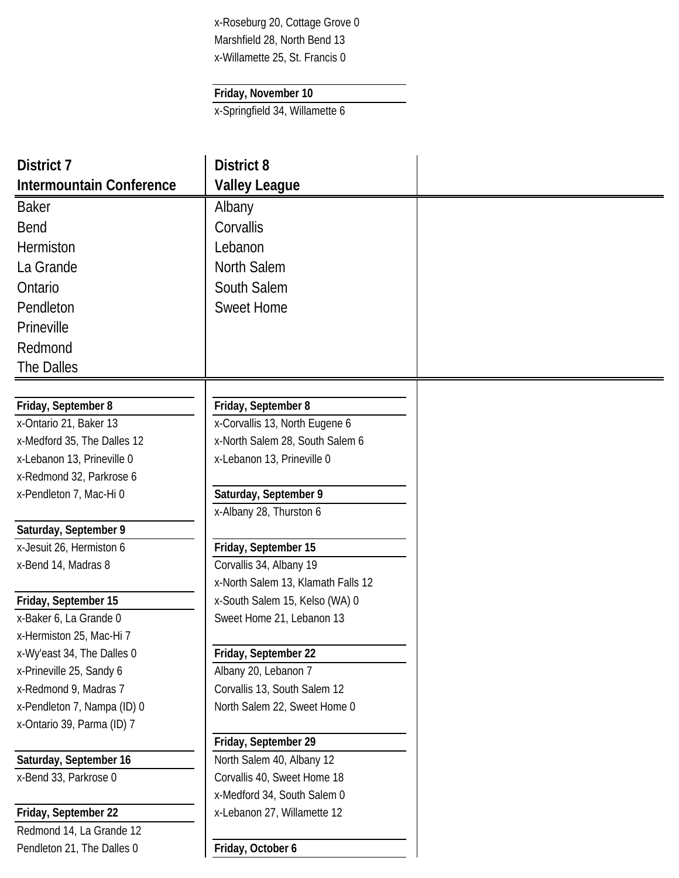x-Roseburg 20, Cottage Grove 0 Marshfield 28, North Bend 13 x-Willamette 25, St. Francis 0

### **Friday, November 10**

x-Springfield 34, Willamette 6

| District 7                                                | <b>District 8</b>                                                 |  |
|-----------------------------------------------------------|-------------------------------------------------------------------|--|
| <b>Intermountain Conference</b>                           | <b>Valley League</b>                                              |  |
| <b>Baker</b>                                              | Albany                                                            |  |
| <b>Bend</b>                                               | Corvallis                                                         |  |
| <b>Hermiston</b>                                          | Lebanon                                                           |  |
| La Grande                                                 | North Salem                                                       |  |
| Ontario                                                   | South Salem                                                       |  |
| Pendleton                                                 | <b>Sweet Home</b>                                                 |  |
|                                                           |                                                                   |  |
| Prineville                                                |                                                                   |  |
| Redmond                                                   |                                                                   |  |
| The Dalles                                                |                                                                   |  |
|                                                           |                                                                   |  |
| Friday, September 8                                       | Friday, September 8                                               |  |
| x-Ontario 21, Baker 13                                    | x-Corvallis 13, North Eugene 6<br>x-North Salem 28, South Salem 6 |  |
| x-Medford 35, The Dalles 12<br>x-Lebanon 13, Prineville 0 | x-Lebanon 13, Prineville 0                                        |  |
| x-Redmond 32, Parkrose 6                                  |                                                                   |  |
| x-Pendleton 7, Mac-Hi 0                                   | Saturday, September 9                                             |  |
|                                                           | x-Albany 28, Thurston 6                                           |  |
| Saturday, September 9                                     |                                                                   |  |
| x-Jesuit 26, Hermiston 6                                  | Friday, September 15                                              |  |
| x-Bend 14, Madras 8                                       | Corvallis 34, Albany 19                                           |  |
|                                                           | x-North Salem 13, Klamath Falls 12                                |  |
| Friday, September 15                                      | x-South Salem 15, Kelso (WA) 0                                    |  |
| x-Baker 6, La Grande 0                                    | Sweet Home 21, Lebanon 13                                         |  |
| x-Hermiston 25, Mac-Hi 7                                  |                                                                   |  |
| x-Wy'east 34, The Dalles 0                                | Friday, September 22                                              |  |
| x-Prineville 25, Sandy 6                                  | Albany 20, Lebanon 7                                              |  |
| x-Redmond 9, Madras 7                                     | Corvallis 13, South Salem 12                                      |  |
| x-Pendleton 7, Nampa (ID) 0                               | North Salem 22, Sweet Home 0                                      |  |
| x-Ontario 39, Parma (ID) 7                                |                                                                   |  |
|                                                           | Friday, September 29                                              |  |
| Saturday, September 16                                    | North Salem 40, Albany 12                                         |  |
| x-Bend 33, Parkrose 0                                     | Corvallis 40, Sweet Home 18                                       |  |
|                                                           | x-Medford 34, South Salem 0                                       |  |
| Friday, September 22                                      | x-Lebanon 27, Willamette 12                                       |  |
| Redmond 14, La Grande 12                                  |                                                                   |  |
| Pendleton 21, The Dalles 0                                | Friday, October 6                                                 |  |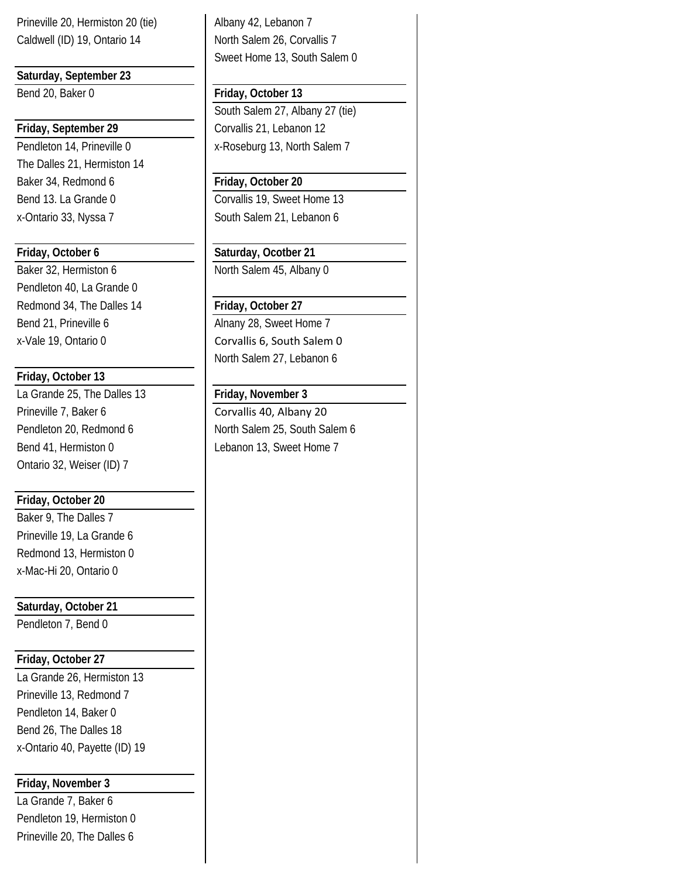Prineville 20, Hermiston 20 (tie) Albany 42, Lebanon 7 Caldwell (ID) 19, Ontario 14 North Salem 26, Corvallis 7

**Saturday, September 23**

The Dalles 21, Hermiston 14 Baker 34, Redmond 6 **Friday, October 20** x-Ontario 33, Nyssa 7 South Salem 21, Lebanon 6

Pendleton 40, La Grande 0 Redmond 34, The Dalles 14 **Friday, October 27** Bend 21, Prineville 6 Alnany 28, Sweet Home 7

### **Friday, October 13**

La Grande 25, The Dalles 13 **Friday, November 3** Prineville 7, Baker 6 Corvallis 40, Albany 20 Bend 41, Hermiston 0 Lebanon 13, Sweet Home 7 Ontario 32, Weiser (ID) 7

### **Friday, October 20**

Baker 9, The Dalles 7 Prineville 19, La Grande 6 Redmond 13, Hermiston 0 x-Mac-Hi 20, Ontario 0

**Saturday, October 21**

Pendleton 7, Bend 0

### **Friday, October 27**

La Grande 26, Hermiston 13 Prineville 13, Redmond 7 Pendleton 14, Baker 0 Bend 26, The Dalles 18 x-Ontario 40, Payette (ID) 19

### **Friday, November 3**

La Grande 7, Baker 6 Pendleton 19, Hermiston 0 Prineville 20, The Dalles 6

Sweet Home 13, South Salem 0

### Bend 20, Baker 0 **Friday, October 13**

South Salem 27, Albany 27 (tie) **Friday, September 29** Corvallis 21, Lebanon 12 Pendleton 14, Prineville 0 | x-Roseburg 13, North Salem 7

Bend 13. La Grande 0 Corvallis 19, Sweet Home 13

### **Friday, October 6 Saturday, Ocotber 21**

Baker 32, Hermiston 6 North Salem 45, Albany 0

x-Vale 19, Ontario 0 Corvallis 6, South Salem 0 North Salem 27, Lebanon 6

Pendleton 20, Redmond 6 North Salem 25, South Salem 6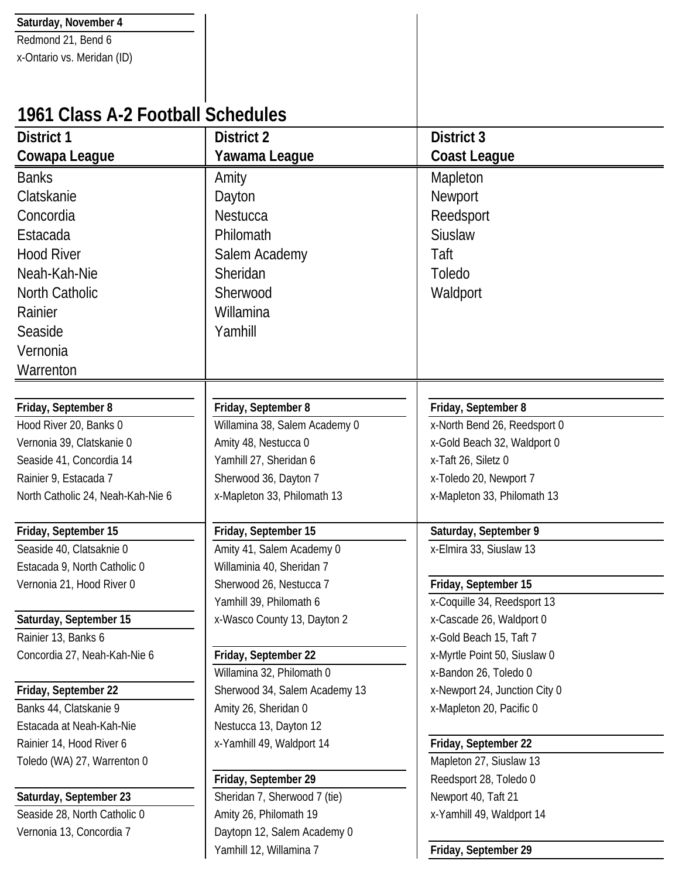| Saturday, November 4              |                               |                               |
|-----------------------------------|-------------------------------|-------------------------------|
| Redmond 21, Bend 6                |                               |                               |
| x-Ontario vs. Meridan (ID)        |                               |                               |
|                                   |                               |                               |
|                                   |                               |                               |
| 1961 Class A-2 Football Schedules |                               |                               |
| District 1                        | <b>District 2</b>             | <b>District 3</b>             |
| Cowapa League                     | Yawama League                 | <b>Coast League</b>           |
| <b>Banks</b>                      | Amity                         | Mapleton                      |
| Clatskanie                        | Dayton                        | Newport                       |
| Concordia                         | <b>Nestucca</b>               | Reedsport                     |
| Estacada                          | Philomath                     | <b>Siuslaw</b>                |
| <b>Hood River</b>                 | Salem Academy                 | Taft                          |
| Neah-Kah-Nie                      | Sheridan                      | Toledo                        |
| <b>North Catholic</b>             | Sherwood                      | Waldport                      |
| Rainier                           | Willamina                     |                               |
| Seaside                           | Yamhill                       |                               |
| Vernonia                          |                               |                               |
| Warrenton                         |                               |                               |
|                                   |                               |                               |
| Friday, September 8               | Friday, September 8           | Friday, September 8           |
| Hood River 20, Banks 0            | Willamina 38, Salem Academy 0 | x-North Bend 26, Reedsport 0  |
| Vernonia 39, Clatskanie 0         | Amity 48, Nestucca 0          | x-Gold Beach 32, Waldport 0   |
| Seaside 41, Concordia 14          | Yamhill 27, Sheridan 6        | x-Taft 26, Siletz 0           |
| Rainier 9, Estacada 7             | Sherwood 36, Dayton 7         | x-Toledo 20, Newport 7        |
| North Catholic 24, Neah-Kah-Nie 6 | x-Mapleton 33, Philomath 13   | x-Mapleton 33, Philomath 13   |
| Friday, September 15              | Friday, September 15          | Saturday, September 9         |
| Seaside 40, Clatsaknie 0          | Amity 41, Salem Academy 0     | x-Elmira 33, Siuslaw 13       |
| Estacada 9, North Catholic 0      | Willaminia 40, Sheridan 7     |                               |
| Vernonia 21, Hood River 0         | Sherwood 26, Nestucca 7       | Friday, September 15          |
|                                   | Yamhill 39, Philomath 6       | x-Coquille 34, Reedsport 13   |
| Saturday, September 15            | x-Wasco County 13, Dayton 2   | x-Cascade 26, Waldport 0      |
| Rainier 13, Banks 6               |                               | x-Gold Beach 15, Taft 7       |
| Concordia 27, Neah-Kah-Nie 6      | Friday, September 22          | x-Myrtle Point 50, Siuslaw 0  |
|                                   | Willamina 32, Philomath 0     | x-Bandon 26, Toledo 0         |
| Friday, September 22              | Sherwood 34, Salem Academy 13 | x-Newport 24, Junction City 0 |
| Banks 44, Clatskanie 9            | Amity 26, Sheridan 0          | x-Mapleton 20, Pacific 0      |
| Estacada at Neah-Kah-Nie          | Nestucca 13, Dayton 12        |                               |
| Rainier 14, Hood River 6          | x-Yamhill 49, Waldport 14     | Friday, September 22          |
| Toledo (WA) 27, Warrenton 0       |                               | Mapleton 27, Siuslaw 13       |
|                                   | Friday, September 29          | Reedsport 28, Toledo 0        |
| Saturday, September 23            | Sheridan 7, Sherwood 7 (tie)  | Newport 40, Taft 21           |
| Seaside 28, North Catholic 0      | Amity 26, Philomath 19        | x-Yamhill 49, Waldport 14     |
| Vernonia 13, Concordia 7          | Daytopn 12, Salem Academy 0   |                               |
|                                   | Yamhill 12, Willamina 7       | Friday, September 29          |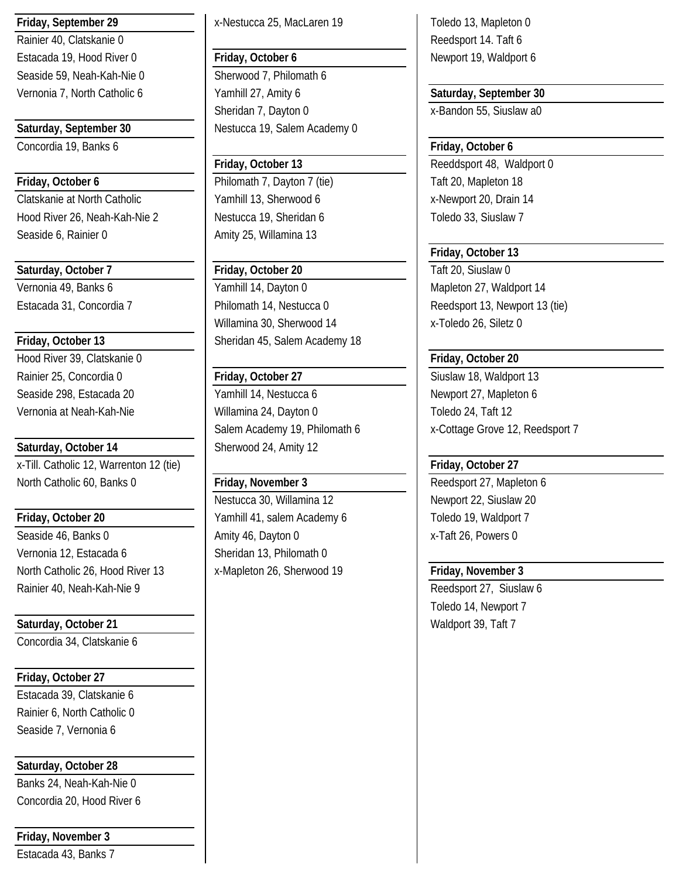Rainier 40, Clatskanie 0 **Reedsport 14. Taft 6** Reedsport 14. Taft 6 Seaside 59, Neah-Kah-Nie 0 Sherwood 7, Philomath 6

Concordia 19, Banks 6 **Friday, October 6**

**Friday, October 6 Philomath 7, Dayton 7 (tie)** Taft 20, Mapleton 18 Clatskanie at North Catholic **Vamhill 13, Sherwood 6** x-Newport 20, Drain 14 Hood River 26, Neah-Kah-Nie 2 Nestucca 19, Sheridan 6 Toledo 33, Siuslaw 7 Seaside 6, Rainier 0 Amity 25, Willamina 13

**Saturday, October 7 Friday, October 20** Taft 20, Siuslaw 0

Hood River 39, Clatskanie 0 **Friday, October 20** Rainier 25, Concordia 0 **Friday, October 27** Siuslaw 18, Waldport 13

**Saturday, October 14** Sherwood 24, Amity 12 x-Till. Catholic 12, Warrenton 12 (tie) **Friday, October 27** North Catholic 60, Banks 0 **Friday, November 3** Reedsport 27, Mapleton 6

**Friday, October 20** Toledo 19, Waldport 7 Yamhill 41, salem Academy 6 Toledo 19, Waldport 7 Seaside 46, Banks 0 Amity 46, Dayton 0 x-Taft 26, Powers 0 Vernonia 12, Estacada 6 Sheridan 13, Philomath 0 North Catholic 26, Hood River 13 x-Mapleton 26, Sherwood 19 **Friday, November 3** Rainier 40, Neah-Kah-Nie 9 and 1 and 1 and 1 and 2 and 2 and 2 and 2 and 2 and 2 and 2 and 2 and 2 and 2 and 2 and 2 and 2 and 2 and 2 and 2 and 2 and 2 and 2 and 2 and 2 and 2 and 2 and 2 and 2 and 2 and 2 and 2 and 2 and

Saturday, October 21 **Network** 1 Waldport 39, Taft 7

Concordia 34, Clatskanie 6

**Friday, October 27**

Estacada 39, Clatskanie 6 Rainier 6, North Catholic 0 Seaside 7, Vernonia 6

**Saturday, October 28**

Banks 24, Neah-Kah-Nie 0 Concordia 20, Hood River 6

**Friday, November 3**

Estacada 43, Banks 7

**Friday, September 29** X-Nestucca 25, MacLaren 19 Toledo 13, Mapleton 0

Estacada 19, Hood River 0 **Friday, October 6** Newport 19, Waldport 6 Vernonia 7, North Catholic 6 | Yamhill 27, Amity 6 | Saturday, September 30 Sheridan 7, Dayton 0 x-Bandon 55, Siuslaw a0 **Saturday, September 30** Nestucca 19, Salem Academy 0

Vernonia 49, Banks 6 (North 2008) | Yamhill 14, Dayton 0 (North 27, Waldport 14 Estacada 31, Concordia 7 Philomath 14, Nestucca 0 Reedsport 13, Newport 13 (tie) Willamina 30, Sherwood 14 x-Toledo 26, Siletz 0 **Friday, October 13** Sheridan 45, Salem Academy 18

Seaside 298, Estacada 20 | Yamhill 14, Nestucca 6 | Newport 27, Mapleton 6 Vernonia at Neah-Kah-Nie **Neah-Willamina 24, Dayton 0** Toledo 24, Taft 12 Salem Academy 19, Philomath 6 x-Cottage Grove 12, Reedsport 7

Nestucca 30, Willamina 12 Newport 22, Siuslaw 20

**Friday, October 13** Reeddsport 48, Waldport 0

**Friday, October 13**

Toledo 14, Newport 7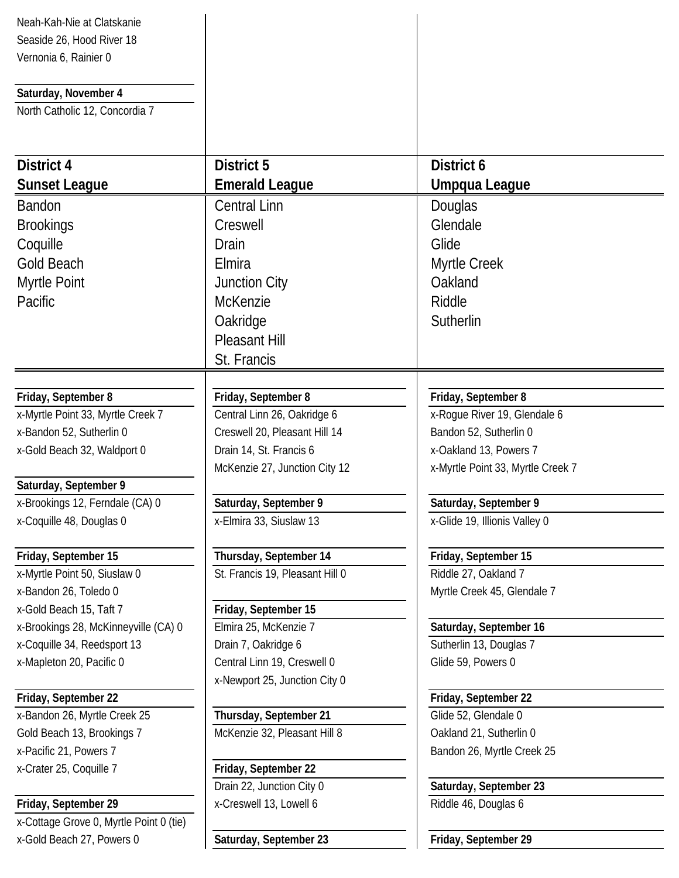| Neah-Kah-Nie at Clatskanie              |                                 |                                   |
|-----------------------------------------|---------------------------------|-----------------------------------|
| Seaside 26, Hood River 18               |                                 |                                   |
| Vernonia 6, Rainier 0                   |                                 |                                   |
|                                         |                                 |                                   |
| Saturday, November 4                    |                                 |                                   |
| North Catholic 12, Concordia 7          |                                 |                                   |
|                                         |                                 |                                   |
| District 4                              | <b>District 5</b>               | District 6                        |
|                                         |                                 |                                   |
| <b>Sunset League</b>                    | <b>Emerald League</b>           | Umpqua League                     |
| <b>Bandon</b>                           | <b>Central Linn</b>             | Douglas                           |
| <b>Brookings</b>                        | Creswell                        | Glendale                          |
| Coquille                                | Drain                           | Glide                             |
| <b>Gold Beach</b>                       | Elmira                          | Myrtle Creek                      |
| Myrtle Point                            | Junction City                   | Oakland                           |
| Pacific                                 | <b>McKenzie</b>                 | Riddle                            |
|                                         | Oakridge                        | Sutherlin                         |
|                                         | <b>Pleasant Hill</b>            |                                   |
|                                         | St. Francis                     |                                   |
|                                         |                                 |                                   |
| Friday, September 8                     | Friday, September 8             | Friday, September 8               |
| x-Myrtle Point 33, Myrtle Creek 7       | Central Linn 26, Oakridge 6     | x-Rogue River 19, Glendale 6      |
| x-Bandon 52, Sutherlin 0                | Creswell 20, Pleasant Hill 14   | Bandon 52, Sutherlin 0            |
| x-Gold Beach 32, Waldport 0             | Drain 14, St. Francis 6         | x-Oakland 13, Powers 7            |
|                                         | McKenzie 27, Junction City 12   | x-Myrtle Point 33, Myrtle Creek 7 |
| Saturday, September 9                   |                                 |                                   |
| x-Brookings 12, Ferndale (CA) 0         | Saturday, September 9           | Saturday, September 9             |
| x-Coquille 48, Douglas 0                | x-Elmira 33, Siuslaw 13         | x-Glide 19, Illionis Valley 0     |
| Friday, September 15                    | Thursday, September 14          | Friday, September 15              |
| x-Myrtle Point 50, Siuslaw 0            | St. Francis 19, Pleasant Hill 0 | Riddle 27, Oakland 7              |
| x-Bandon 26, Toledo 0                   |                                 | Myrtle Creek 45, Glendale 7       |
| x-Gold Beach 15, Taft 7                 | Friday, September 15            |                                   |
| x-Brookings 28, McKinneyville (CA) 0    | Elmira 25, McKenzie 7           | Saturday, September 16            |
| x-Coquille 34, Reedsport 13             | Drain 7, Oakridge 6             | Sutherlin 13, Douglas 7           |
| x-Mapleton 20, Pacific 0                | Central Linn 19, Creswell 0     | Glide 59, Powers 0                |
|                                         | x-Newport 25, Junction City 0   |                                   |
| Friday, September 22                    |                                 | Friday, September 22              |
| x-Bandon 26, Myrtle Creek 25            | Thursday, September 21          | Glide 52, Glendale 0              |
| Gold Beach 13, Brookings 7              | McKenzie 32, Pleasant Hill 8    | Oakland 21, Sutherlin 0           |
| x-Pacific 21, Powers 7                  |                                 | Bandon 26, Myrtle Creek 25        |
| x-Crater 25, Coquille 7                 | Friday, September 22            |                                   |
|                                         | Drain 22, Junction City 0       | Saturday, September 23            |
| Friday, September 29                    | x-Creswell 13, Lowell 6         | Riddle 46, Douglas 6              |
| x-Cottage Grove 0, Myrtle Point 0 (tie) |                                 |                                   |
| x-Gold Beach 27, Powers 0               | Saturday, September 23          | Friday, September 29              |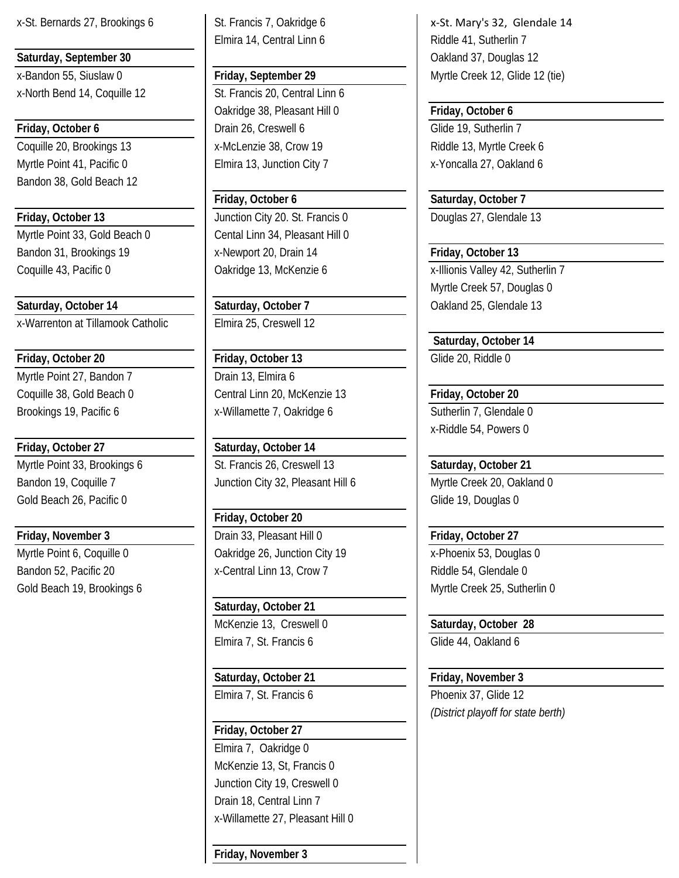Bandon 38, Gold Beach 12

Myrtle Point 33, Gold Beach 0 Cental Linn 34, Pleasant Hill 0 Bandon 31, Brookings 19 **Friday, October 13** x-Newport 20, Drain 14 **Friday, October 13** 

**Saturday, October 14 Saturday, October 7 Calculary Active 13** Oakland 25, Glendale 13 x-Warrenton at Tillamook Catholic Elmira 25, Creswell 12

Myrtle Point 27, Bandon 7 Drain 13, Elmira 6

**Friday, October 27 Saturday, October 14** Gold Beach 26, Pacific 0 Glide 19, Douglas 0

Myrtle Point 6, Coquille 0 <br> **Oakridge 26, Junction City 19** x-Phoenix 53, Douglas 0 Bandon 52, Pacific 20 x-Central Linn 13, Crow 7 Riddle 54, Glendale 0 Gold Beach 19, Brookings 6 Myrtle Creek 25, Sutherlin 0

Elmira 14, Central Linn 6 Riddle 41, Sutherlin 7

x-North Bend 14, Coquille 12 St. Francis 20, Central Linn 6 Oakridge 38, Pleasant Hill 0 **Friday, October 6 Friday, October 6 Drain 26, Creswell 6** Glide 19, Sutherlin 7 Coquille 20, Brookings 13 **X**-McLenzie 38, Crow 19 **Riddle 13, Myrtle Creek 6** Myrtle Point 41, Pacific 0 **Elmira 13, Junction City 7** X-Yoncalla 27, Oakland 6

**Friday, October 13** Junction City 20. St. Francis 0 Douglas 27, Glendale 13

**Friday, October 20 Friday, October 13** Glide 20, Riddle 0 Coquille 38, Gold Beach 0 Central Linn 20, McKenzie 13 **Friday, October 20** Brookings 19, Pacific 6 <br>
x-Willamette 7, Oakridge 6 <br>
Sutherlin 7, Glendale 0

Myrtle Point 33, Brookings 6 St. Francis 26, Creswell 13 **Saturday, October 21** Bandon 19, Coquille 7 Junction City 32, Pleasant Hill 6 Myrtle Creek 20, Oakland 0

**Friday, October 20 Friday, November 3 Drain 33, Pleasant Hill 0 Friday, October 27** 

> **Saturday, October 21** McKenzie 13, Creswell 0 **Saturday, October 28** Elmira 7, St. Francis 6 Glide 44, Oakland 6

**Saturday, October 21 Friday, November 3** Elmira 7, St. Francis 6 Phoenix 37, Glide 12

**Friday, October 27** Elmira 7, Oakridge 0 McKenzie 13, St, Francis 0 Junction City 19, Creswell 0 Drain 18, Central Linn 7 x-Willamette 27, Pleasant Hill 0

**Friday, November 3**

x-St. Bernards 27, Brookings 6 St. Francis 7, Oakridge 6 New York St. Mary's 32, Glendale 14 **Saturday, September 30 Contract 20** Oakland 37, Douglas 12 x-Bandon 55, Siuslaw 0 **Friday, September 29** Myrtle Creek 12, Glide 12 (tie)

**Friday, October 6 Saturday, October 7**

Coquille 43, Pacific 0 Coquille 43, Pacific 0 Coquille 43, Pacific 0 Coquille 43, Pacific 0 Coquille 43, Sutherlin 7 Myrtle Creek 57, Douglas 0

 **Saturday, October 14**

x-Riddle 54, Powers 0

*(District playoff for state berth)*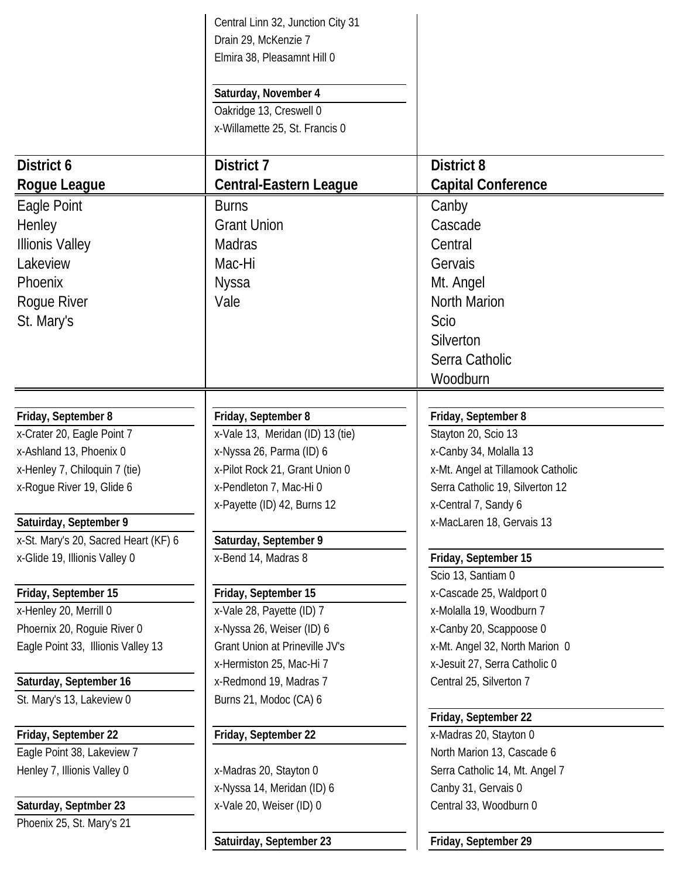|                                                                   | Central Linn 32, Junction City 31                           |                                                           |
|-------------------------------------------------------------------|-------------------------------------------------------------|-----------------------------------------------------------|
|                                                                   | Drain 29, McKenzie 7                                        |                                                           |
|                                                                   | Elmira 38, Pleasamnt Hill 0                                 |                                                           |
|                                                                   | Saturday, November 4                                        |                                                           |
|                                                                   | Oakridge 13, Creswell 0                                     |                                                           |
|                                                                   | x-Willamette 25, St. Francis 0                              |                                                           |
|                                                                   |                                                             |                                                           |
| District 6                                                        | District 7                                                  | <b>District 8</b>                                         |
| Rogue League                                                      | <b>Central-Eastern League</b>                               | <b>Capital Conference</b>                                 |
| Eagle Point                                                       | <b>Burns</b>                                                | Canby                                                     |
| Henley                                                            | <b>Grant Union</b>                                          | Cascade                                                   |
| <b>Illionis Valley</b>                                            | Madras                                                      | Central                                                   |
| Lakeview                                                          | Mac-Hi                                                      | Gervais                                                   |
| Phoenix                                                           | <b>Nyssa</b>                                                | Mt. Angel                                                 |
| Rogue River                                                       | Vale                                                        | North Marion                                              |
| St. Mary's                                                        |                                                             | <b>Scio</b>                                               |
|                                                                   |                                                             | Silverton                                                 |
|                                                                   |                                                             | Serra Catholic                                            |
|                                                                   |                                                             | Woodburn                                                  |
|                                                                   |                                                             |                                                           |
| Friday, September 8                                               | Friday, September 8                                         | Friday, September 8                                       |
| x-Crater 20, Eagle Point 7                                        | x-Vale 13, Meridan (ID) 13 (tie)                            | Stayton 20, Scio 13                                       |
| x-Ashland 13, Phoenix 0                                           | x-Nyssa 26, Parma (ID) 6                                    | x-Canby 34, Molalla 13                                    |
| x-Henley 7, Chiloquin 7 (tie)                                     | x-Pilot Rock 21, Grant Union 0                              | x-Mt. Angel at Tillamook Catholic                         |
| x-Rogue River 19, Glide 6                                         | x-Pendleton 7, Mac-Hi 0                                     | Serra Catholic 19, Silverton 12                           |
|                                                                   | x-Payette (ID) 42, Burns 12                                 | x-Central 7, Sandy 6                                      |
| Satuirday, September 9                                            |                                                             | x-MacLaren 18, Gervais 13                                 |
| x-St. Mary's 20, Sacred Heart (KF) 6                              | Saturday, September 9                                       |                                                           |
| x-Glide 19, Illionis Valley 0                                     | x-Bend 14, Madras 8                                         | Friday, September 15                                      |
|                                                                   |                                                             | Scio 13, Santiam 0                                        |
| Friday, September 15                                              | Friday, September 15                                        | x-Cascade 25, Waldport 0                                  |
| x-Henley 20, Merrill 0                                            | x-Vale 28, Payette (ID) 7                                   | x-Molalla 19, Woodburn 7                                  |
| Phoernix 20, Roquie River 0<br>Eagle Point 33, Illionis Valley 13 | x-Nyssa 26, Weiser (ID) 6<br>Grant Union at Prineville JV's | x-Canby 20, Scappoose 0<br>x-Mt. Angel 32, North Marion 0 |
|                                                                   | x-Hermiston 25, Mac-Hi 7                                    | x-Jesuit 27, Serra Catholic 0                             |
| Saturday, September 16                                            | x-Redmond 19, Madras 7                                      | Central 25, Silverton 7                                   |
| St. Mary's 13, Lakeview 0                                         | Burns 21, Modoc (CA) 6                                      |                                                           |
|                                                                   |                                                             | Friday, September 22                                      |
| Friday, September 22                                              | Friday, September 22                                        | x-Madras 20, Stayton 0                                    |
| Eagle Point 38, Lakeview 7                                        |                                                             | North Marion 13, Cascade 6                                |
| Henley 7, Illionis Valley 0                                       | x-Madras 20, Stayton 0                                      | Serra Catholic 14, Mt. Angel 7                            |
|                                                                   | x-Nyssa 14, Meridan (ID) 6                                  | Canby 31, Gervais 0                                       |
| Saturday, Septmber 23                                             | x-Vale 20, Weiser (ID) 0                                    | Central 33, Woodburn 0                                    |
| Phoenix 25, St. Mary's 21                                         |                                                             |                                                           |
|                                                                   | Satuirday, September 23                                     | Friday, September 29                                      |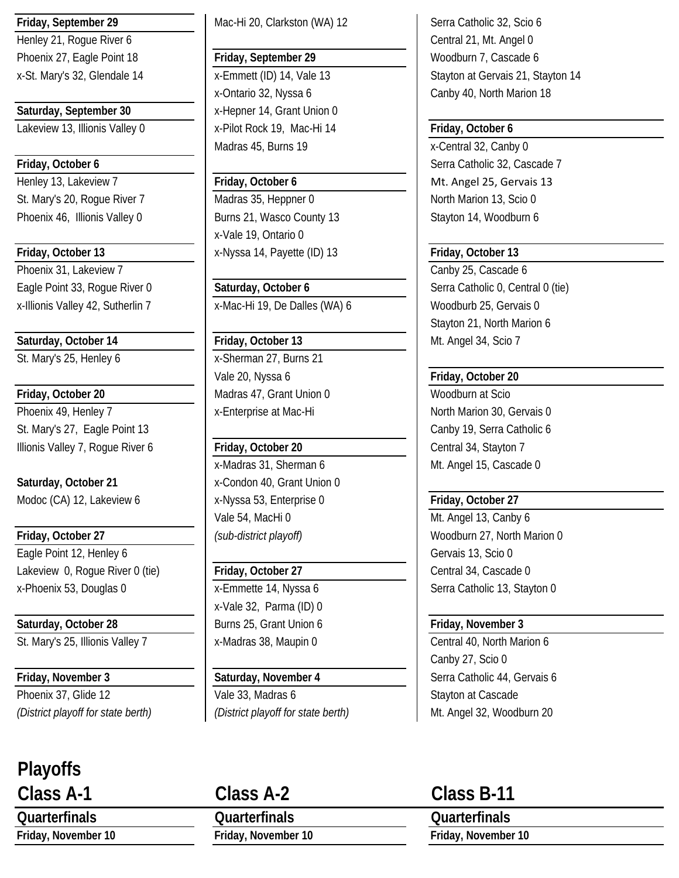Henley 21, Roque River 6 Central 21, Mt. Angel 0 Phoenix 27, Eagle Point 18 **Friday, September 29** Woodburn 7, Cascade 6

Lakeview 13, Illionis Valley 0 x-Pilot Rock 19, Mac-Hi 14 **Friday, October 6**

Phoenix 46, Illionis Valley 0 Burns 21, Wasco County 13 Stayton 14, Woodburn 6

Phoenix 31, Lakeview 7 Phoenix 31, Lakeview 7 Canby 25, Cascade 6 Eagle Point 33, Rogue River 0 **Saturday, October 6** Serra Catholic 0, Central 0 (tie)

# **Saturday, October 14 Friday, October 13** Mt. Angel 34, Scio 7

Phoenix 49, Henley 7 x-Enterprise at Mac-Hi North Marion 30, Gervais 0 St. Mary's 27, Eagle Point 13 and the contract of the Canby 19, Serra Catholic 6 Illionis Valley 7, Rogue River 6 **Friday, October 20** Central 34, Stayton 7

**Saturday, October 21** x-Condon 40, Grant Union 0 Modoc (CA) 12, Lakeview 6 **X** x-Nyssa 53, Enterprise 0 **Friday, October 27** 

## **Friday, October 27** *(sub-district playoff)* **Woodburn 27, North Marion 0** Eagle Point 12, Henley 6 Gervais 13, Scio 0 Lakeview 0, Roque River 0 (tie) **Friday, October 27** The Central 34, Cascade 0

**Saturday, October 28 Burns 25, Grant Union 6 Friday, November 3** 

# **Playoffs**

**Friday, September 29** Mac-Hi 20, Clarkston (WA) 12 Serra Catholic 32, Scio 6

x-Ontario 32, Nyssa 6 Canby 40, North Marion 18 **Saturday, September 30** x-Hepner 14, Grant Union 0 Madras 45, Burns 19 x-Central 32, Canby 0

St. Mary's 20, Roque River 7 Madras 35, Heppner 0 North Marion 13, Scio 0 x-Vale 19, Ontario 0 **Friday, October 13** X-Nyssa 14, Payette (ID) 13 **Friday, October 13** 

x-Illionis Valley 42, Sutherlin 7 x-Mac-Hi 19, De Dalles (WA) 6 Woodburb 25, Gervais 0

St. Mary's 25, Henley 6 x-Sherman 27, Burns 21 Vale 20, Nyssa 6 **Friday, October 20 Friday, October 20** Madras 47, Grant Union 0 Woodburn at Scio

x-Madras 31, Sherman 6 Mullet 2016 Mt. Angel 15, Cascade 0 Vale 54, MacHi 0 Mt. Angel 13, Canby 6

x-Vale 32, Parma (ID) 0

Phoenix 37, Glide 12 Vale 33, Madras 6 Stayton at Cascade *(District playoff for state berth) (District playoff for state berth)* Mt. Angel 32, Woodburn 20

**Quarterfinals Quarterfinals Quarterfinals Friday, November 10 Friday, November 10 Friday, November 10**

x-St. Mary's 32, Glendale 14 x-Emmett (ID) 14, Vale 13 Stayton at Gervais 21, Stayton 14

# **Friday, October 6 Serra Catholic 32, Cascade 7** Serra Catholic 32, Cascade 7 Henley 13, Lakeview 7 **Friday, October 6** Mt. Angel 25, Gervais 13

Stayton 21, North Marion 6

x-Phoenix 53, Douglas 0 x-Emmette 14, Nyssa 6 Serra Catholic 13, Stayton 0

St. Mary's 25, Illionis Valley 7 x-Madras 38, Maupin 0 Central 40, North Marion 6 Canby 27, Scio 0 **Friday, November 3 Saturday, November 4** Serra Catholic 44, Gervais 6

# **Class A-1 Class A-2 Class B-11**